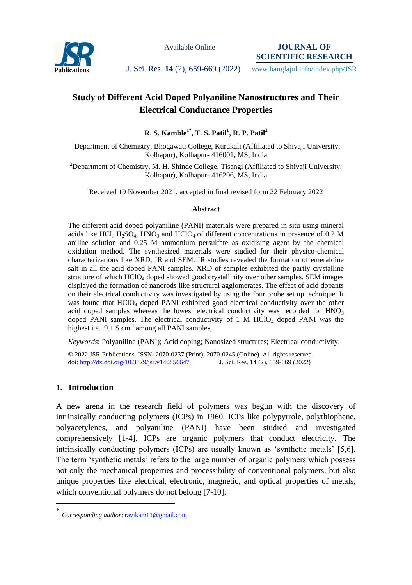

Available Online

**JOURNAL OF SCIENTIFIC RESEARCH**

**Publications J. Sci. Res. 14** (2), 659-669 (2022) www.banglajol.info/index.php/JSR

# **Study of Different Acid Doped Polyaniline Nanostructures and Their Electrical Conductance Properties**

# **R. S. Kamble1\* , T. S. Patil<sup>1</sup> , R. P. Patil<sup>2</sup>**

<sup>1</sup>Department of Chemistry, Bhogawati College, Kurukali (Affiliated to Shivaji University, Kolhapur), Kolhapur- 416001, MS, India

<sup>2</sup>Department of Chemistry, M. H. Shinde College, Tisangi (Affiliated to Shivaji University, Kolhapur), Kolhapur- 416206, MS, India

Received 19 November 2021, accepted in final revised form 22 February 2022

#### **Abstract**

The different acid doped polyaniline (PANI) materials were prepared in situ using mineral acids like HCl,  $H_2SO_4$ , HNO<sub>3</sub> and HClO<sub>4</sub> of different concentrations in presence of 0.2 M aniline solution and 0.25 M ammonium persulfate as oxidising agent by the chemical oxidation method. The synthesized materials were studied for their physico-chemical characterizations like XRD, IR and SEM. IR studies revealed the formation of emeraldine salt in all the acid doped PANI samples. XRD of samples exhibited the partly crystalline structure of which HClO<sup>4</sup> doped showed good crystallinity over other samples. SEM images displayed the formation of nanorods like structural agglomerates. The effect of acid dopants on their electrical conductivity was investigated by using the four probe set up technique. It was found that HClO<sub>4</sub> doped PANI exhibited good electrical conductivity over the other acid doped samples whereas the lowest electrical conductivity was recorded for HNO<sub>3</sub> doped PANI samples. The electrical conductivity of 1 M  $HClO<sub>4</sub>$  doped PANI was the highest i.e. 9.1 S cm<sup>-1</sup> among all PANI samples

*Keywords*: Polyaniline (PANI); Acid doping; Nanosized structures; Electrical conductivity.

© 2022 JSR Publications. ISSN: 2070-0237 (Print); 2070-0245 (Online). All rights reserved. doi:<http://dx.doi.org/10.3329/jsr.v14i2.56647>J. Sci. Res. **14** (2), 659-669 (2022)

# **1. Introduction**

 $\overline{a}$ 

A new arena in the research field of polymers was begun with the discovery of intrinsically conducting polymers (ICPs) in 1960. ICPs like polypyrrole, polythiophene, polyacetylenes, and polyaniline (PANI) have been studied and investigated comprehensively [1-4]. ICPs are organic polymers that conduct electricity. The intrinsically conducting polymers (ICPs) are usually known as 'synthetic metals' [5,6]. The term 'synthetic metals' refers to the large number of organic polymers which possess not only the mechanical properties and processibility of conventional polymers, but also unique properties like electrical, electronic, magnetic, and optical properties of metals, which conventional polymers do not belong [7-10].

<sup>\*</sup> *Corresponding author*[: ravikam11@gmail.com](mailto:ravikam11@gmail.com)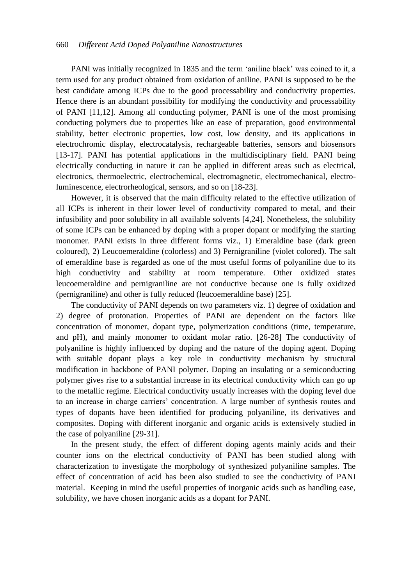#### 660 *Different Acid Doped Polyaniline Nanostructures*

PANI was initially recognized in 1835 and the term 'aniline black' was coined to it, a term used for any product obtained from oxidation of aniline. PANI is supposed to be the best candidate among ICPs due to the good processability and conductivity properties. Hence there is an abundant possibility for modifying the conductivity and processability of PANI [11,12]. Among all conducting polymer, PANI is one of the most promising conducting polymers due to properties like an ease of preparation, good environmental stability, better electronic properties, low cost, low density, and its applications in electrochromic display, electrocatalysis, rechargeable batteries, sensors and biosensors [13-17]. PANI has potential applications in the multidisciplinary field. PANI being electrically conducting in nature it can be applied in different areas such as electrical, electronics, thermoelectric, electrochemical, electromagnetic, electromechanical, electroluminescence, electrorheological, sensors, and so on [18-23].

However, it is observed that the main difficulty related to the effective utilization of all ICPs is inherent in their lower level of conductivity compared to metal, and their infusibility and poor solubility in all available solvents [4,24]. Nonetheless, the solubility of some ICPs can be enhanced by doping with a proper dopant or modifying the starting monomer. PANI exists in three different forms viz., 1) Emeraldine base (dark green coloured), 2) Leucoemeraldine (colorless) and 3) Pernigraniline (violet colored). The salt of emeraldine base is regarded as one of the most useful forms of polyaniline due to its high conductivity and stability at room temperature. Other oxidized states leucoemeraldine and pernigraniline are not conductive because one is fully oxidized (pernigraniline) and other is fully reduced (leucoemeraldine base) [25].

The conductivity of PANI depends on two parameters viz. 1) degree of oxidation and 2) degree of protonation. Properties of PANI are dependent on the factors like concentration of monomer, dopant type, polymerization conditions (time, temperature, and pH), and mainly monomer to oxidant molar ratio. [26-28] The conductivity of polyaniline is highly influenced by doping and the nature of the doping agent. Doping with suitable dopant plays a key role in conductivity mechanism by structural modification in backbone of PANI polymer. Doping an insulating or a semiconducting polymer gives rise to a substantial increase in its electrical conductivity which can go up to the metallic regime. Electrical conductivity usually increases with the doping level due to an increase in charge carriers' concentration. A large number of synthesis routes and types of dopants have been identified for producing polyaniline, its derivatives and composites. Doping with different inorganic and organic acids is extensively studied in the case of polyaniline [29-31].

In the present study, the effect of different doping agents mainly acids and their counter ions on the electrical conductivity of PANI has been studied along with characterization to investigate the morphology of synthesized polyaniline samples. The effect of concentration of acid has been also studied to see the conductivity of PANI material. Keeping in mind the useful properties of inorganic acids such as handling ease, solubility, we have chosen inorganic acids as a dopant for PANI.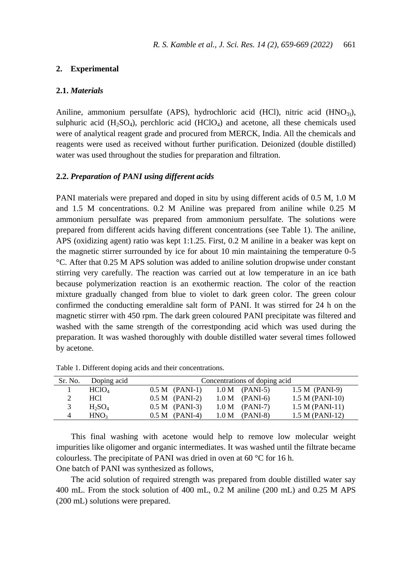#### **2. Experimental**

#### **2.1.** *Materials*

Aniline, ammonium persulfate (APS), hydrochloric acid (HCl), nitric acid (HNO<sub>3</sub>), sulphuric acid  $(H_2SO_4)$ , perchloric acid  $(HClO_4)$  and acetone, all these chemicals used were of analytical reagent grade and procured from MERCK, India. All the chemicals and reagents were used as received without further purification. Deionized (double distilled) water was used throughout the studies for preparation and filtration.

#### **2.2.** *Preparation of PANI using different acids*

PANI materials were prepared and doped in situ by using different acids of 0.5 M, 1.0 M and 1.5 M concentrations. 0.2 M Aniline was prepared from aniline while 0.25 M ammonium persulfate was prepared from ammonium persulfate. The solutions were prepared from different acids having different concentrations (see Table 1). The aniline, APS (oxidizing agent) ratio was kept 1:1.25. First, 0.2 M aniline in a beaker was kept on the magnetic stirrer surrounded by ice for about 10 min maintaining the temperature 0-5 °C. After that 0.25 M APS solution was added to aniline solution dropwise under constant stirring very carefully. The reaction was carried out at low temperature in an ice bath because polymerization reaction is an exothermic reaction. The color of the reaction mixture gradually changed from blue to violet to dark green color. The green colour confirmed the conducting emeraldine salt form of PANI. It was stirred for 24 h on the magnetic stirrer with 450 rpm. The dark green coloured PANI precipitate was filtered and washed with the same strength of the correstponding acid which was used during the preparation. It was washed thoroughly with double distilled water several times followed by acetone.

| Sr. No. | Doping acid       | Concentrations of doping acid |                   |                   |  |  |  |
|---------|-------------------|-------------------------------|-------------------|-------------------|--|--|--|
|         | HClO <sub>4</sub> | $0.5 M$ (PANI-1)              | $1.0 M$ (PANI-5)  | $1.5 M$ (PANI-9)  |  |  |  |
|         | HCl               | $0.5 M$ (PANI-2)              | $1.0 M$ (PANI-6)  | $1.5 M (PANI-10)$ |  |  |  |
|         | $H_2SO_4$         | $0.5 M$ (PANI-3)              | $1.0 M$ (PANI-7)  | $1.5 M (PANI-11)$ |  |  |  |
| 4       | HNO <sub>3</sub>  | $0.5 M$ (PANI-4)              | (PANI-8)<br>1.0 M | $1.5 M (PANI-12)$ |  |  |  |

Table 1. Different doping acids and their concentrations.

This final washing with acetone would help to remove low molecular weight impurities like oligomer and organic intermediates. It was washed until the filtrate became colourless. The precipitate of PANI was dried in oven at 60 °C for 16 h. One batch of PANI was synthesized as follows,

The acid solution of required strength was prepared from double distilled water say 400 mL. From the stock solution of 400 mL, 0.2 M aniline (200 mL) and 0.25 M APS (200 mL) solutions were prepared.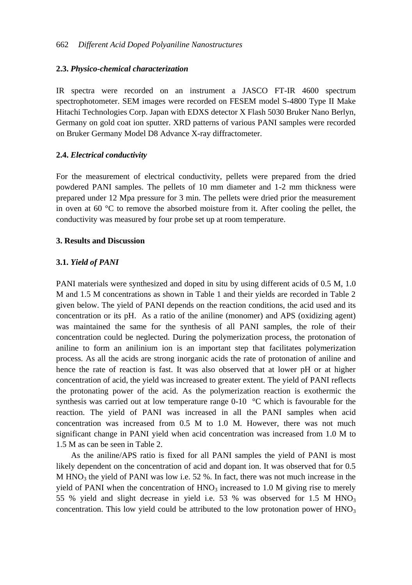#### **2.3.** *Physico-chemical characterization*

IR spectra were recorded on an instrument a JASCO FT-IR 4600 spectrum spectrophotometer. SEM images were recorded on FESEM model S-4800 Type II Make Hitachi Technologies Corp. Japan with EDXS detector X Flash 5030 Bruker Nano Berlyn, Germany on gold coat ion sputter. XRD patterns of various PANI samples were recorded on Bruker Germany Model D8 Advance X-ray diffractometer.

#### **2.4.** *Electrical conductivity*

For the measurement of electrical conductivity, pellets were prepared from the dried powdered PANI samples. The pellets of 10 mm diameter and 1-2 mm thickness were prepared under 12 Mpa pressure for 3 min. The pellets were dried prior the measurement in oven at 60  $\degree$ C to remove the absorbed moisture from it. After cooling the pellet, the conductivity was measured by four probe set up at room temperature.

# **3. Results and Discussion**

#### **3.1.** *Yield of PANI*

PANI materials were synthesized and doped in situ by using different acids of 0.5 M, 1.0 M and 1.5 M concentrations as shown in Table 1 and their yields are recorded in Table 2 given below. The yield of PANI depends on the reaction conditions, the acid used and its concentration or its pH. As a ratio of the aniline (monomer) and APS (oxidizing agent) was maintained the same for the synthesis of all PANI samples, the role of their concentration could be neglected. During the polymerization process, the protonation of aniline to form an anilinium ion is an important step that facilitates polymerization process. As all the acids are strong inorganic acids the rate of protonation of aniline and hence the rate of reaction is fast. It was also observed that at lower pH or at higher concentration of acid, the yield was increased to greater extent. The yield of PANI reflects the protonating power of the acid. As the polymerization reaction is exothermic the synthesis was carried out at low temperature range  $0\n-10$  °C which is favourable for the reaction. The yield of PANI was increased in all the PANI samples when acid concentration was increased from 0.5 M to 1.0 M. However, there was not much significant change in PANI yield when acid concentration was increased from 1.0 M to 1.5 M as can be seen in Table 2.

As the aniline/APS ratio is fixed for all PANI samples the yield of PANI is most likely dependent on the concentration of acid and dopant ion. It was observed that for 0.5 M  $HNO<sub>3</sub>$  the yield of PANI was low i.e. 52 %. In fact, there was not much increase in the yield of PANI when the concentration of  $HNO<sub>3</sub>$  increased to 1.0 M giving rise to merely 55 % yield and slight decrease in yield i.e. 53 % was observed for 1.5 M  $HNO<sub>3</sub>$ concentration. This low yield could be attributed to the low protonation power of  $HNO<sub>3</sub>$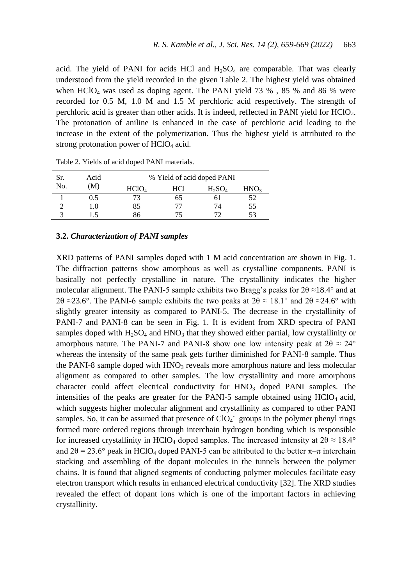acid. The yield of PANI for acids HCl and  $H_2SO_4$  are comparable. That was clearly understood from the yield recorded in the given Table 2. The highest yield was obtained when  $HCIO_4$  was used as doping agent. The PANI yield 73 %, 85 % and 86 % were recorded for 0.5 M, 1.0 M and 1.5 M perchloric acid respectively. The strength of perchloric acid is greater than other acids. It is indeed, reflected in PANI yield for HClO4. The protonation of aniline is enhanced in the case of perchloric acid leading to the increase in the extent of the polymerization. Thus the highest yield is attributed to the strong protonation power of  $HClO<sub>4</sub>$  acid.

| Sr. | Acid<br>(M) | % Yield of acid doped PANI |     |           |                  |
|-----|-------------|----------------------------|-----|-----------|------------------|
| No. |             | HCIO <sub>4</sub>          | HCl | $H_2SO_4$ | HNO <sub>3</sub> |
|     | 0.5         | 72                         | 65  | 61        | 52               |
|     | 1.0         | 85                         |     | 74        | 55               |
|     | .5          | 86                         |     |           | 53               |

Table 2. Yields of acid doped PANI materials.

#### **3.2.** *Characterization of PANI samples*

XRD patterns of PANI samples doped with 1 M acid concentration are shown in Fig. 1. The diffraction patterns show amorphous as well as crystalline components. PANI is basically not perfectly crystalline in nature. The crystallinity indicates the higher molecular alignment. The PANI-5 sample exhibits two Bragg's peaks for  $2\theta \approx 18.4^\circ$  and at 2θ ≈23.6°. The PANI-6 sample exhibits the two peaks at  $2\theta \approx 18.1^\circ$  and  $2\theta \approx 24.6^\circ$  with slightly greater intensity as compared to PANI-5. The decrease in the crystallinity of PANI-7 and PANI-8 can be seen in Fig. 1. It is evident from XRD spectra of PANI samples doped with  $H_2SO_4$  and  $HNO_3$  that they showed either partial, low crystallinity or amorphous nature. The PANI-7 and PANI-8 show one low intensity peak at  $2\theta \approx 24^{\circ}$ whereas the intensity of the same peak gets further diminished for PANI-8 sample. Thus the PANI-8 sample doped with  $HNO<sub>3</sub>$  reveals more amorphous nature and less molecular alignment as compared to other samples. The low crystallinity and more amorphous character could affect electrical conductivity for  $HNO<sub>3</sub>$  doped PANI samples. The intensities of the peaks are greater for the PANI-5 sample obtained using  $HClO<sub>4</sub>$  acid, which suggests higher molecular alignment and crystallinity as compared to other PANI samples. So, it can be assumed that presence of  $ClO<sub>4</sub>$  groups in the polymer phenyl rings formed more ordered regions through interchain hydrogen bonding which is responsible for increased crystallinity in HClO<sub>4</sub> doped samples. The increased intensity at  $2\theta \approx 18.4^{\circ}$ and  $2\theta = 23.6^{\circ}$  peak in HClO<sub>4</sub> doped PANI-5 can be attributed to the better  $\pi-\pi$  interchain stacking and assembling of the dopant molecules in the tunnels between the polymer chains. It is found that aligned segments of conducting polymer molecules facilitate easy electron transport which results in enhanced electrical conductivity [32]. The XRD studies revealed the effect of dopant ions which is one of the important factors in achieving crystallinity.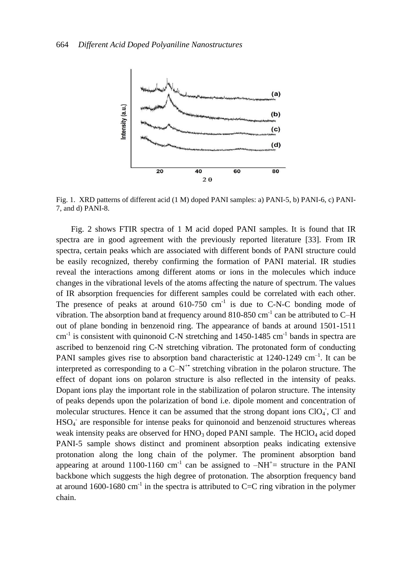

Fig. 1. XRD patterns of different acid (1 M) doped PANI samples: a) PANI-5, b) PANI-6, c) PANI-7, and d) PANI-8.

Fig. 2 shows FTIR spectra of 1 M acid doped PANI samples. It is found that IR spectra are in good agreement with the previously reported literature [33]. From IR spectra, certain peaks which are associated with different bonds of PANI structure could be easily recognized, thereby confirming the formation of PANI material. IR studies reveal the interactions among different atoms or ions in the molecules which induce changes in the vibrational levels of the atoms affecting the nature of spectrum. The values of IR absorption frequencies for different samples could be correlated with each other. The presence of peaks at around  $610-750$  cm<sup>-1</sup> is due to C-N-C bonding mode of vibration. The absorption band at frequency around  $810-850$  cm<sup>-1</sup> can be attributed to C-H out of plane bonding in benzenoid ring. The appearance of bands at around 1501-1511  $\text{cm}^{-1}$  is consistent with quinonoid C-N stretching and 1450-1485  $\text{cm}^{-1}$  bands in spectra are ascribed to benzenoid ring C-N stretching vibration. The protonated form of conducting PANI samples gives rise to absorption band characteristic at  $1240-1249$  cm<sup>-1</sup>. It can be interpreted as corresponding to a  $C-N^*$  stretching vibration in the polaron structure. The effect of dopant ions on polaron structure is also reflected in the intensity of peaks. Dopant ions play the important role in the stabilization of polaron structure. The intensity of peaks depends upon the polarization of bond i.e. dipole moment and concentration of molecular structures. Hence it can be assumed that the strong dopant ions  $ClO<sub>4</sub>$ , Cl and HSO<sub>4</sub> are responsible for intense peaks for quinonoid and benzenoid structures whereas weak intensity peaks are observed for  $HNO<sub>3</sub>$  doped PANI sample. The  $HClO<sub>4</sub>$  acid doped PANI-5 sample shows distinct and prominent absorption peaks indicating extensive protonation along the long chain of the polymer. The prominent absorption band appearing at around 1100-1160 cm<sup>-1</sup> can be assigned to  $-NH^+=$  structure in the PANI backbone which suggests the high degree of protonation. The absorption frequency band at around 1600-1680 cm<sup>-1</sup> in the spectra is attributed to C=C ring vibration in the polymer chain.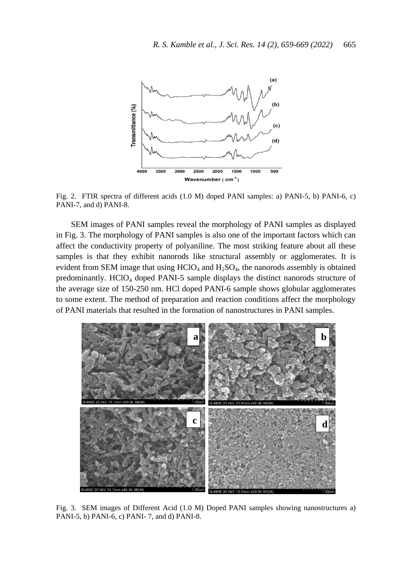

Fig. 2. FTIR spectra of different acids (1.0 M) doped PANI samples: a) PANI-5, b) PANI-6, c) PANI-7, and d) PANI-8.

SEM images of PANI samples reveal the morphology of PANI samples as displayed in Fig. 3. The morphology of PANI samples is also one of the important factors which can affect the conductivity property of polyaniline. The most striking feature about all these samples is that they exhibit nanorods like structural assembly or agglomerates. It is evident from SEM image that using  $HCIO<sub>4</sub>$  and  $H<sub>2</sub>SO<sub>4</sub>$ , the nanorods assembly is obtained predominantly. HClO<sup>4</sup> doped PANI-5 sample displays the distinct nanorods structure of the average size of 150-250 nm. HCl doped PANI-6 sample shows globular agglomerates to some extent. The method of preparation and reaction conditions affect the morphology of PANI materials that resulted in the formation of nanostructures in PANI samples.



Fig. 3. SEM images of Different Acid (1.0 M) Doped PANI samples showing nanostructures a) PANI-5, b) PANI-6, c) PANI- 7, and d) PANI-8.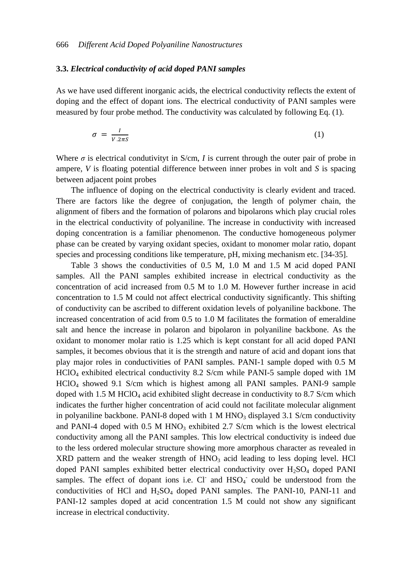#### **3.3.** *Electrical conductivity of acid doped PANI samples*

As we have used different inorganic acids, the electrical conductivity reflects the extent of doping and the effect of dopant ions. The electrical conductivity of PANI samples were measured by four probe method. The conductivity was calculated by following Eq. (1).

$$
\sigma = \frac{I}{V.2\pi S} \tag{1}
$$

Where  $\sigma$  is electrical condutivity in S/cm, *I* is current through the outer pair of probe in ampere, *V* is floating potential difference between inner probes in volt and *S* is spacing between adjacent point probes

The influence of doping on the electrical conductivity is clearly evident and traced. There are factors like the degree of conjugation, the length of polymer chain, the alignment of fibers and the formation of polarons and bipolarons which play crucial roles in the electrical conductivity of polyaniline. The increase in conductivity with increased doping concentration is a familiar phenomenon. The conductive homogeneous polymer phase can be created by varying oxidant species, oxidant to monomer molar ratio, dopant species and processing conditions like temperature, pH, mixing mechanism etc. [34-35].

Table 3 shows the conductivities of 0.5 M, 1.0 M and 1.5 M acid doped PANI samples. All the PANI samples exhibited increase in electrical conductivity as the concentration of acid increased from 0.5 M to 1.0 M. However further increase in acid concentration to 1.5 M could not affect electrical conductivity significantly. This shifting of conductivity can be ascribed to different oxidation levels of polyaniline backbone. The increased concentration of acid from 0.5 to 1.0 M facilitates the formation of emeraldine salt and hence the increase in polaron and bipolaron in polyaniline backbone. As the oxidant to monomer molar ratio is 1.25 which is kept constant for all acid doped PANI samples, it becomes obvious that it is the strength and nature of acid and dopant ions that play major roles in conductivities of PANI samples. PANI-1 sample doped with 0.5 M HClO<sup>4</sup> exhibited electrical conductivity 8.2 S/cm while PANI-5 sample doped with 1M HClO<sup>4</sup> showed 9.1 S/cm which is highest among all PANI samples. PANI-9 sample doped with  $1.5$  M HClO<sub>4</sub> acid exhibited slight decrease in conductivity to 8.7 S/cm which indicates the further higher concentration of acid could not facilitate molecular alignment in polyaniline backbone. PANI-8 doped with  $1 \text{ M HNO}_3$  displayed 3.1 S/cm conductivity and PANI-4 doped with  $0.5$  M HNO<sub>3</sub> exhibited 2.7 S/cm which is the lowest electrical conductivity among all the PANI samples. This low electrical conductivity is indeed due to the less ordered molecular structure showing more amorphous character as revealed in  $XRD$  pattern and the weaker strength of  $HNO<sub>3</sub>$  acid leading to less doping level. HCl doped PANI samples exhibited better electrical conductivity over  $H_2SO_4$  doped PANI samples. The effect of dopant ions i.e. Cl and HSO<sub>4</sub> could be understood from the conductivities of HCl and  $H_2SO_4$  doped PANI samples. The PANI-10, PANI-11 and PANI-12 samples doped at acid concentration 1.5 M could not show any significant increase in electrical conductivity.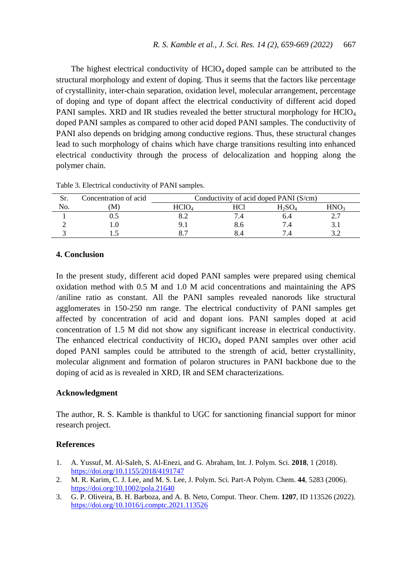The highest electrical conductivity of  $HClO<sub>4</sub>$  doped sample can be attributed to the structural morphology and extent of doping. Thus it seems that the factors like percentage of crystallinity, inter-chain separation, oxidation level, molecular arrangement, percentage of doping and type of dopant affect the electrical conductivity of different acid doped PANI samples. XRD and IR studies revealed the better structural morphology for HClO<sub>4</sub> doped PANI samples as compared to other acid doped PANI samples. The conductivity of PANI also depends on bridging among conductive regions. Thus, these structural changes lead to such morphology of chains which have charge transitions resulting into enhanced electrical conductivity through the process of delocalization and hopping along the polymer chain.

| Sr. | Concentration of acid | Conductivity of acid doped PANI (S/cm) |  |      |          |
|-----|-----------------------|----------------------------------------|--|------|----------|
| No. | M                     |                                        |  | ⊓∌Э∪ |          |
|     |                       |                                        |  |      | <u>.</u> |
|     |                       |                                        |  |      |          |
|     |                       |                                        |  |      |          |

Table 3. Electrical conductivity of PANI samples.

# **4. Conclusion**

In the present study, different acid doped PANI samples were prepared using chemical oxidation method with 0.5 M and 1.0 M acid concentrations and maintaining the APS /aniline ratio as constant. All the PANI samples revealed nanorods like structural agglomerates in 150-250 nm range. The electrical conductivity of PANI samples get affected by concentration of acid and dopant ions. PANI samples doped at acid concentration of 1.5 M did not show any significant increase in electrical conductivity. The enhanced electrical conductivity of  $HClO<sub>4</sub>$  doped PANI samples over other acid doped PANI samples could be attributed to the strength of acid, better crystallinity, molecular alignment and formation of polaron structures in PANI backbone due to the doping of acid as is revealed in XRD, IR and SEM characterizations.

#### **Acknowledgment**

The author, R. S. Kamble is thankful to UGC for sanctioning financial support for minor research project.

### **References**

- 1. A. Yussuf, M. Al-Saleh, S. Al-Enezi, and G. Abraham, Int. J. Polym. Sci. **2018**, 1 (2018). <https://doi.org/10.1155/2018/4191747>
- 2. M. R. Karim, C. J. Lee, and M. S. Lee, J. Polym. Sci. Part-A Polym. Chem. **44**, 5283 (2006). <https://doi.org/10.1002/pola.21640>
- 3. G. P. Oliveira, B. H. Barboza, and A. B. Neto, Comput. Theor. Chem. **1207**, ID 113526 (2022). <https://doi.org/10.1016/j.comptc.2021.113526>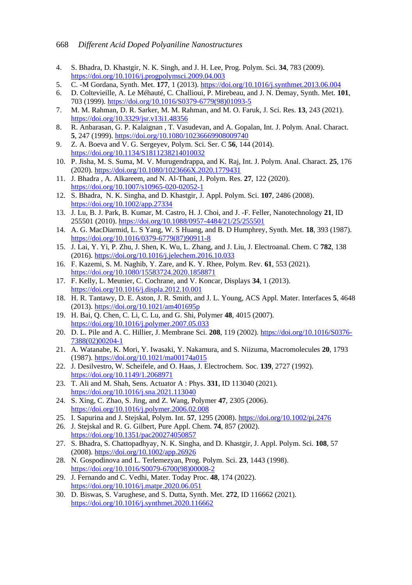- 4. S. Bhadra, D. Khastgir, N. K. Singh, and J. H. Lee, Prog. Polym. Sci. **34**, 783 (2009). <https://doi.org/10.1016/j.progpolymsci.2009.04.003>
- 5. C. -M Gordana, Synth. Met. **177**, 1 (2013). <https://doi.org/10.1016/j.synthmet.2013.06.004>
- 6. D. Coltevieille, A. Le Méhauté, C. Challioui, P. Mirebeau, and J. N. Demay, Synth. Met. **101**, 703 (1999). [https://doi.org/10.1016/S0379-6779\(98\)01093-5](https://doi.org/10.1016/S0379-6779(98)01093-5)
- 7. M. M. Rahman, D. R. Sarker, M. M. Rahman, and M. O. Faruk, J. Sci. Res. **13**, 243 (2021). <https://doi.org/10.3329/jsr.v13i1.48356>
- 8. R. Anbarasan, G. P. Kalaignan , T. Vasudevan, and A. Gopalan, Int. J. Polym. Anal. Charact. **5**, 247 (1999)[. https://doi.org/10.1080/10236669908009740](https://doi.org/10.1080/10236669908009740)
- 9. Z. A. Boeva and V. G. Sergeyev, Polym. Sci. Ser. C **56**, 144 (2014). <https://doi.org/10.1134/S1811238214010032>
- 10. P. Jisha, M. S. Suma, M. V. Murugendrappa, and K. Raj, Int. J. Polym. Anal. Charact. **25**, 176 (2020)[. https://doi.org/10.1080/1023666X.2020.1779431](https://doi.org/10.1080/1023666X.2020.1779431)
- 11. J. Bhadra , A. Alkareem, and N. Al-Thani, J. Polym. Res. **27**, 122 (2020). <https://doi.org/10.1007/s10965-020-02052-1>
- 12. S. Bhadra, N. K. Singha, and D. Khastgir, J. Appl. Polym. Sci. **107**, 2486 (2008). <https://doi.org/10.1002/app.27334>
- 13. J. Lu, B. J. Park, B. Kumar, M. Castro, H. J. Choi, and J. -F. Feller, Nanotechnology **21**, ID 255501 (2010). <https://doi.org/10.1088/0957-4484/21/25/255501>
- 14. A. G. MacDiarmid, L. S Yang, W. S Huang, and B. D Humphrey, Synth. Met. **18**, 393 (1987). [https://doi.org/10.1016/0379-6779\(87\)90911-8](https://doi.org/10.1016/0379-6779(87)90911-8)
- 15. J. Lai, Y. Yi, P. Zhu, J. Shen, K. Wu, L. Zhang, and J. Liu, J. Electroanal. Chem. C **782**, 138 (2016). <https://doi.org/10.1016/j.jelechem.2016.10.033>
- 16. F. Kazemi, S. M. Naghib, Y. Zare, and K. Y. Rhee, Polym. Rev. **61**, 553 (2021). <https://doi.org/10.1080/15583724.2020.1858871>
- 17. F. Kelly, L. Meunier, C. Cochrane, and V. Koncar, Displays **34**, 1 (2013). <https://doi.org/10.1016/j.displa.2012.10.001>
- 18. H. R. Tantawy, D. E. Aston, J. R. Smith, and J. L. Young, ACS Appl. Mater. Interfaces **5**, 4648 (2013). <https://doi.org/10.1021/am401695p>
- 19. H. Bai, Q. Chen, C. Li, C. Lu, and G. Shi, Polymer **48**, 4015 (2007). <https://doi.org/10.1016/j.polymer.2007.05.033>
- 20. D. L. Pile and A. C. Hillier, J. Membrane Sci. **208**, 119 (2002). [https://doi.org/10.1016/S0376-](https://doi.org/10.1016/S0376-7388(02)00204-1) [7388\(02\)00204-1](https://doi.org/10.1016/S0376-7388(02)00204-1)
- 21. A. Watanabe, K. Mori, Y. Iwasaki, Y. Nakamura, and S. Niizuma, Macromolecules **20**, 1793 (1987). <https://doi.org/10.1021/ma00174a015>
- 22. J. Desilvestro, W. Scheifele, and O. Haas, J. Electrochem. Soc. **139**, 2727 (1992). <https://doi.org/10.1149/1.2068971>
- 23. T. Ali and M. Shah, Sens. Actuator A : Phys. **331**, ID 113040 (2021). <https://doi.org/10.1016/j.sna.2021.113040>
- 24. S. Xing, C. Zhao, S. Jing, and Z. Wang, Polymer **47**, 2305 (2006). <https://doi.org/10.1016/j.polymer.2006.02.008>
- 25. I. Sapurina and J. Stejskal, Polym. Int. **57**, 1295 (2008). <https://doi.org/10.1002/pi.2476>
- 26. J. Stejskal and R. G. Gilbert, Pure Appl. Chem. **74**, 857 (2002). <https://doi.org/10.1351/pac200274050857>
- 27. S. Bhadra, S. Chattopadhyay, N. K. Singha, and D. Khastgir, J. Appl. Polym. Sci. **108**, 57 (2008). <https://doi.org/10.1002/app.26926>
- 28. N. Gospodinova and L. Terlemezyan, Prog. Polym. Sci. **23**, 1443 (1998). [https://doi.org/10.1016/S0079-6700\(98\)00008-2](https://doi.org/10.1016/S0079-6700(98)00008-2)
- 29. J. Fernando and C. Vedhi, Mater. Today Proc. **48**, 174 (2022). <https://doi.org/10.1016/j.matpr.2020.06.051>
- 30. D. Biswas, S. Varughese, and S. Dutta, Synth. Met. **272**, ID 116662 (2021). <https://doi.org/10.1016/j.synthmet.2020.116662>